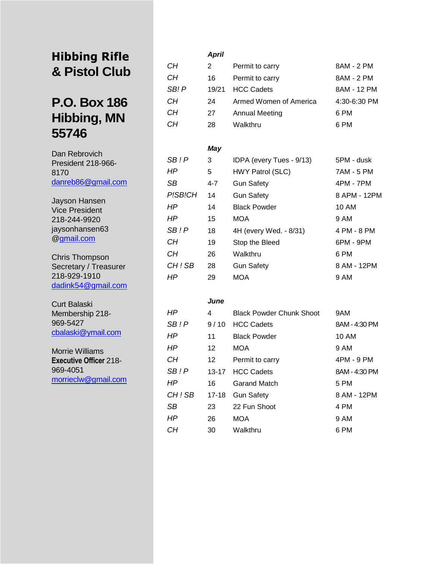## **Hibbing Rifle & Pistol Club**

# **P.O. Box 186 Hibbing, MN 55746**

Dan Rebrovich President 218-966- 8170 [danreb86@gmail.com](mailto:danreb86@gmail.com)

Jayson Hansen Vice President 218-244-9920 jaysonhansen63 @gmail.com

Chris Thompson Secretary / Treasurer 218-929-1910 dadink54@gmail.com

Curt Balaski Membership 218- 969-5427 cbalaski@ymail.com

Morrie Williams **Executive Officer** 218- 969-4051 morrieclw@gmail.com

### *April CH* 2 Permit to carry 8AM - 2 PM *CH* 16 Permit to carry 8AM - 2 PM **SB! P** 19/21 HCC Cadets 8AM - 12 PM *CH* 24 Armed Women of America 4:30-6:30 PM *CH* 27 Annual Meeting 6 PM *CH* 28 Walkthru 6 PM *May SB ! P* 3 IDPA (every Tues - 9/13) 5PM - dusk *HP* 5 HWY Patrol (SLC) 7AM - 5 PM SB 4-7 Gun Safety 4PM - 7PM P!SB!CH 14 Gun Safety 8 APM - 12PM *HP* 14 Black Powder 10 AM *HP* 15 MOA 9 AM *SB ! P* 18 4H (every Wed. - 8/31) 4 PM - 8 PM *CH* 19 Stop the Bleed 6PM - 9PM *CH* 26 Walkthru 6 PM CH ! SB 28 Gun Safety 8 AM - 12PM *HP* 29 MOA 9 AM

#### *June*

| ΗP      | 4                | <b>Black Powder Chunk Shoot</b> | 9AM           |
|---------|------------------|---------------------------------|---------------|
| SB!P    | 9/10             | <b>HCC Cadets</b>               | 8AM - 4:30 PM |
| ΗP      | 11               | <b>Black Powder</b>             | 10 AM         |
| НP      | 12 <sup>2</sup>  | <b>MOA</b>                      | 9 AM          |
| CН      | 12 <sup>12</sup> | Permit to carry                 | 4PM - 9 PM    |
| SB ! P  | $13 - 17$        | <b>HCC Cadets</b>               | 8AM - 4:30 PM |
| ΗP      | 16               | Garand Match                    | 5 PM          |
| CH ! SB | 17-18            | <b>Gun Safety</b>               | 8 AM - 12PM   |
| SB      | 23               | 22 Fun Shoot                    | 4 PM          |
| ΗP      | 26               | <b>MOA</b>                      | 9 AM          |
| CН      | 30               | Walkthru                        | 6 PM          |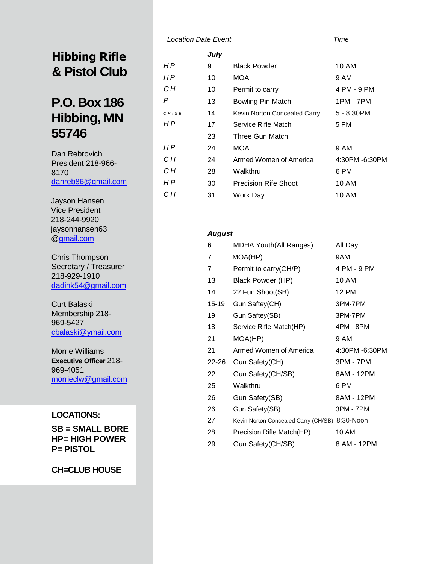# **Hibbing Rifle & Pistol Club**

# **P.O. Box 186 Hibbing, MN 55746**

Dan Rebrovich President 218-966- 8170 [danreb86@gmail.com](mailto:danreb86@gmail.com)

Jayson Hansen Vice President 218-244-9920 jaysonhansen63 @[gmail.com](http://gmail.com/)

Chris Thompson Secretary / Treasurer 218-929-1910 [dadink54@gmail.com](mailto:dadink54@gmail.com)

Curt Balaski Membership 218- 969-5427 [cbalaski@ymail.com](mailto:cbalaski@gmail.com)

Morrie Williams **Executive Officer** 218- 969-4051 [morrieclw@gmail.com](mailto:morrieclw@gmail.com)

### **LOCATIONS:**

**SB = SMALL BORE HP= HIGH POWER P= PISTOL**

**CH=CLUB HOUSE**

### *Location Date Event Time*

|       | July |                              |                |
|-------|------|------------------------------|----------------|
| НP    | 9    | <b>Black Powder</b>          | 10 AM          |
| H P   | 10   | <b>MOA</b>                   | 9 AM           |
| CН    | 10   | Permit to carry              | 4 PM - 9 PM    |
| P     | 13   | <b>Bowling Pin Match</b>     | 1PM - 7PM      |
| CH/SB | 14   | Kevin Norton Concealed Carry | 5 - 8:30PM     |
| H P   | 17   | Service Rifle Match          | 5 PM           |
|       | 23   | Three Gun Match              |                |
| H P   | 24   | MOA                          | 9 AM           |
| CН    | 24   | Armed Women of America       | 4:30PM -6:30PM |
| CН    | 28   | Walkthru                     | 6 PM           |
| H P   | 30   | <b>Precision Rife Shoot</b>  | 10 AM          |
| CН    | 31   | Work Day                     | 10 AM          |

#### *August*

| 6     | <b>MDHA Youth(All Ranges)</b>                  | All Day        |
|-------|------------------------------------------------|----------------|
| 7     | MOA(HP)                                        | 9AM            |
| 7     | Permit to carry(CH/P)                          | 4 PM - 9 PM    |
| 13    | Black Powder (HP)                              | 10 AM          |
| 14    | 22 Fun Shoot(SB)                               | <b>12 PM</b>   |
| 15-19 | Gun Saftey(CH)                                 | 3PM-7PM        |
| 19    | Gun Saftey(SB)                                 | 3PM-7PM        |
| 18    | Service Rifle Match(HP)                        | 4PM - 8PM      |
| 21    | MOA(HP)                                        | 9 AM           |
| 21    | Armed Women of America                         | 4:30PM -6:30PM |
| 22-26 | Gun Safety(CH)                                 | 3PM - 7PM      |
| 22    | Gun Safety(CH/SB)                              | 8AM - 12PM     |
| 25    | Walkthru                                       | 6 PM           |
| 26    | Gun Safety(SB)                                 | 8AM - 12PM     |
| 26    | Gun Safety(SB)                                 | 3PM - 7PM      |
| 27    | Kevin Norton Concealed Carry (CH/SB) 8:30-Noon |                |
| 28    | Precision Rifle Match(HP)                      | 10 AM          |
| 29    | Gun Safety(CH/SB)                              | 8 AM - 12PM    |
|       |                                                |                |